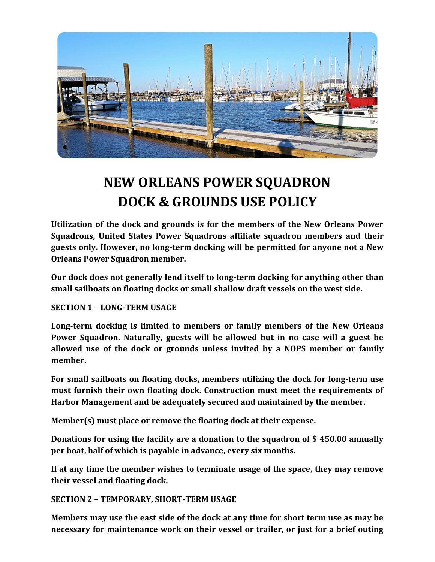

# **NEW ORLEANS POWER SQUADRON DOCK & GROUNDS USE POLICY**

**Utilization of the dock and grounds is for the members of the New Orleans Power Squadrons, United States Power Squadrons affiliate squadron members and their guests only. However, no long-term docking will be permitted for anyone not a New Orleans Power Squadron member.**

**Our dock does not generally lend itself to long-term docking for anything other than small sailboats on floating docks or small shallow draft vessels on the west side.**

### **SECTION 1 – LONG-TERM USAGE**

**Long-term docking is limited to members or family members of the New Orleans Power Squadron. Naturally, guests will be allowed but in no case will a guest be allowed use of the dock or grounds unless invited by a NOPS member or family member.**

**For small sailboats on floating docks, members utilizing the dock for long-term use must furnish their own floating dock. Construction must meet the requirements of Harbor Management and be adequately secured and maintained by the member.**

**Member(s) must place or remove the floating dock at their expense.**

**Donations for using the facility are a donation to the squadron of \$ 450.00 annually per boat, half of which is payable in advance, every six months.** 

**If at any time the member wishes to terminate usage of the space, they may remove their vessel and floating dock.**

**SECTION 2 – TEMPORARY, SHORT-TERM USAGE**

**Members may use the east side of the dock at any time for short term use as may be necessary for maintenance work on their vessel or trailer, or just for a brief outing**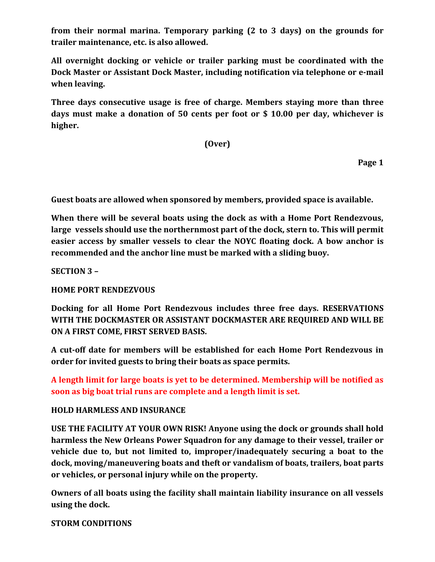**from their normal marina. Temporary parking (2 to 3 days) on the grounds for trailer maintenance, etc. is also allowed.**

**All overnight docking or vehicle or trailer parking must be coordinated with the Dock Master or Assistant Dock Master, including notification via telephone or e-mail when leaving.**

**Three days consecutive usage is free of charge. Members staying more than three days must make a donation of 50 cents per foot or \$ 10.00 per day, whichever is higher.** 

**(Over)**

**Page 1**

**Guest boats are allowed when sponsored by members, provided space is available.**

**When there will be several boats using the dock as with a Home Port Rendezvous, large vessels should use the northernmost part of the dock, stern to. This will permit easier access by smaller vessels to clear the NOYC floating dock. A bow anchor is recommended and the anchor line must be marked with a sliding buoy.** 

**SECTION 3 –**

**HOME PORT RENDEZVOUS**

**Docking for all Home Port Rendezvous includes three free days. RESERVATIONS WITH THE DOCKMASTER OR ASSISTANT DOCKMASTER ARE REQUIRED AND WILL BE ON A FIRST COME, FIRST SERVED BASIS.**

**A cut-off date for members will be established for each Home Port Rendezvous in order for invited guests to bring their boats as space permits.**

**A length limit for large boats is yet to be determined. Membership will be notified as soon as big boat trial runs are complete and a length limit is set.**

#### **HOLD HARMLESS AND INSURANCE**

**USE THE FACILITY AT YOUR OWN RISK! Anyone using the dock or grounds shall hold harmless the New Orleans Power Squadron for any damage to their vessel, trailer or vehicle due to, but not limited to, improper/inadequately securing a boat to the dock, moving/maneuvering boats and theft or vandalism of boats, trailers, boat parts or vehicles, or personal injury while on the property.**

**Owners of all boats using the facility shall maintain liability insurance on all vessels using the dock.**

**STORM CONDITIONS**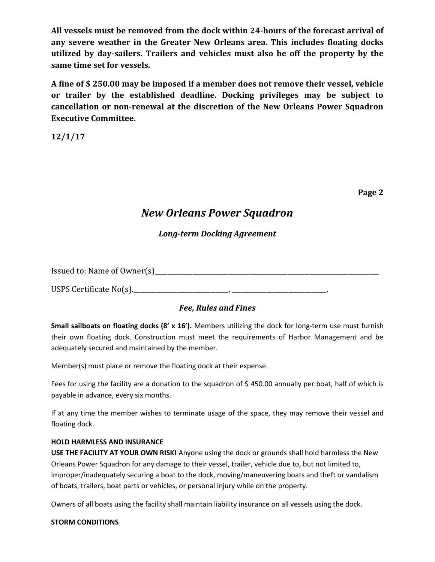**All vessels must be removed from the dock within 24-hours of the forecast arrival of any severe weather in the Greater New Orleans area. This includes floating docks utilized by day-sailers. Trailers and vehicles must also be off the property by the same time set for vessels.**

**A fine of \$ 250.00 may be imposed if a member does not remove their vessel, vehicle or trailer by the established deadline. Docking privileges may be subject to cancellation or non-renewal at the discretion of the New Orleans Power Squadron Executive Committee.**

**12/1/17**

**Page 2**

## *New Orleans Power Squadron*

### *Long-term Docking Agreement*

Issued to: Name of Owner(s)

USPS Certificate No(s).\_\_\_\_\_\_\_\_\_\_\_\_\_\_\_\_\_\_\_\_\_\_\_\_\_\_\_\_\_\_, \_\_\_\_\_\_\_\_\_\_\_\_\_\_\_\_\_\_\_\_\_\_\_\_\_\_\_\_\_\_.

### *Fee, Rules and Fines*

**Small sailboats on floating docks (8' x 16').** Members utilizing the dock for long-term use must furnish their own floating dock. Construction must meet the requirements of Harbor Management and be adequately secured and maintained by the member.

Member(s) must place or remove the floating dock at their expense.

Fees for using the facility are a donation to the squadron of \$ 450.00 annually per boat, half of which is payable in advance, every six months.

If at any time the member wishes to terminate usage of the space, they may remove their vessel and floating dock.

#### **HOLD HARMLESS AND INSURANCE**

**USE THE FACILITY AT YOUR OWN RISK!** Anyone using the dock or grounds shall hold harmless the New Orleans Power Squadron for any damage to their vessel, trailer, vehicle due to, but not limited to, improper/inadequately securing a boat to the dock, moving/maneuvering boats and theft or vandalism of boats, trailers, boat parts or vehicles, or personal injury while on the property.

Owners of all boats using the facility shall maintain liability insurance on all vessels using the dock.

#### **STORM CONDITIONS**